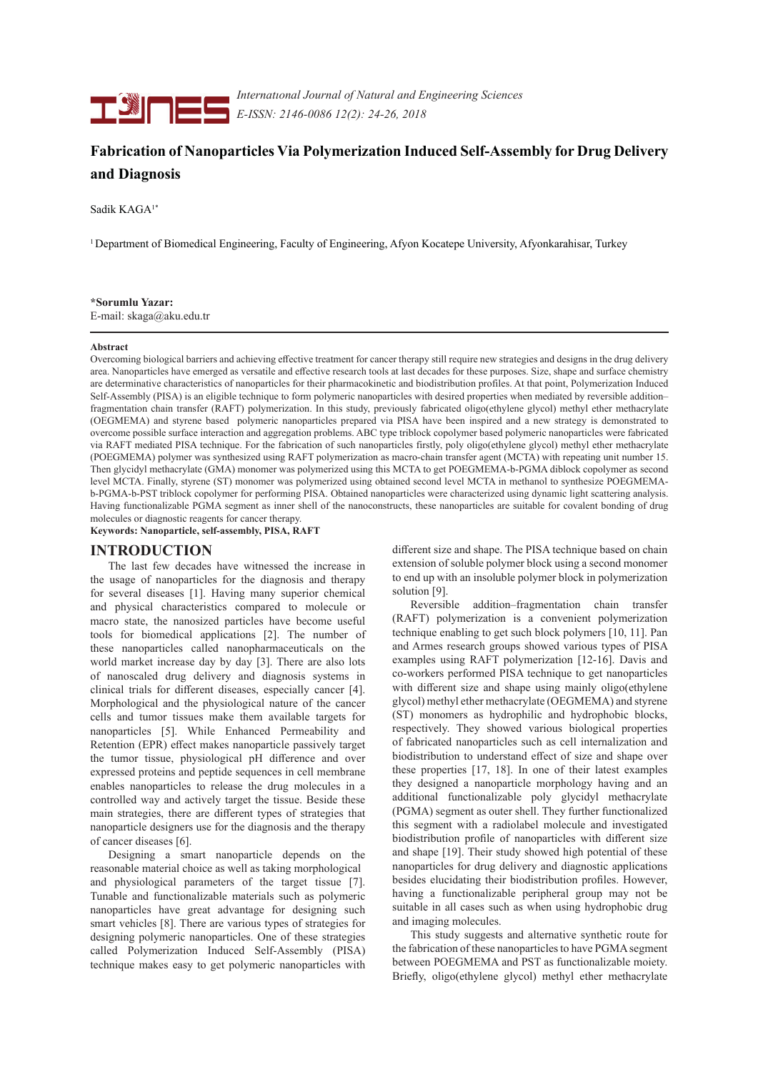

*Internatıonal Journal of Natural and Engineering Sciences E-ISSN: 2146-0086 12(2): 24-26, 2018* 

# **Fabrication of Nanoparticles Via Polymerization Induced Self-Assembly for Drug Delivery and Diagnosis**

Sadik KAGA<sup>1\*</sup>

1 Department of Biomedical Engineering, Faculty of Engineering, Afyon Kocatepe University, Afyonkarahisar, Turkey

## **\*Sorumlu Yazar:**

E-mail: skaga@aku.edu.tr

### **Abstract**

Overcoming biological barriers and achieving effective treatment for cancer therapy still require new strategies and designs in the drug delivery area. Nanoparticles have emerged as versatile and effective research tools at last decades for these purposes. Size, shape and surface chemistry are determinative characteristics of nanoparticles for their pharmacokinetic and biodistribution profiles. At that point, Polymerization Induced Self-Assembly (PISA) is an eligible technique to form polymeric nanoparticles with desired properties when mediated by reversible addition– fragmentation chain transfer (RAFT) polymerization. In this study, previously fabricated oligo(ethylene glycol) methyl ether methacrylate (OEGMEMA) and styrene based polymeric nanoparticles prepared via PISA have been inspired and a new strategy is demonstrated to overcome possible surface interaction and aggregation problems. ABC type triblock copolymer based polymeric nanoparticles were fabricated via RAFT mediated PISA technique. For the fabrication of such nanoparticles firstly, poly oligo(ethylene glycol) methyl ether methacrylate (POEGMEMA) polymer was synthesized using RAFT polymerization as macro-chain transfer agent (MCTA) with repeating unit number 15. Then glycidyl methacrylate (GMA) monomer was polymerized using this MCTA to get POEGMEMA-b-PGMA diblock copolymer as second level MCTA. Finally, styrene (ST) monomer was polymerized using obtained second level MCTA in methanol to synthesize POEGMEMAb-PGMA-b-PST triblock copolymer for performing PISA. Obtained nanoparticles were characterized using dynamic light scattering analysis. Having functionalizable PGMA segment as inner shell of the nanoconstructs, these nanoparticles are suitable for covalent bonding of drug molecules or diagnostic reagents for cancer therapy.

**Keywords: Nanoparticle, self-assembly, PISA, RAFT**

## **INTRODUCTION**

The last few decades have witnessed the increase in the usage of nanoparticles for the diagnosis and therapy for several diseases [1]. Having many superior chemical and physical characteristics compared to molecule or macro state, the nanosized particles have become useful tools for biomedical applications [2]. The number of these nanoparticles called nanopharmaceuticals on the world market increase day by day [3]. There are also lots of nanoscaled drug delivery and diagnosis systems in clinical trials for different diseases, especially cancer [4]. Morphological and the physiological nature of the cancer cells and tumor tissues make them available targets for nanoparticles [5]. While Enhanced Permeability and Retention (EPR) effect makes nanoparticle passively target the tumor tissue, physiological pH difference and over expressed proteins and peptide sequences in cell membrane enables nanoparticles to release the drug molecules in a controlled way and actively target the tissue. Beside these main strategies, there are different types of strategies that nanoparticle designers use for the diagnosis and the therapy of cancer diseases [6].

Designing a smart nanoparticle depends on the reasonable material choice as well as taking morphological and physiological parameters of the target tissue [7]. Tunable and functionalizable materials such as polymeric nanoparticles have great advantage for designing such smart vehicles [8]. There are various types of strategies for designing polymeric nanoparticles. One of these strategies called Polymerization Induced Self-Assembly (PISA) technique makes easy to get polymeric nanoparticles with different size and shape. The PISA technique based on chain extension of soluble polymer block using a second monomer to end up with an insoluble polymer block in polymerization solution [9].

Reversible addition–fragmentation chain transfer (RAFT) polymerization is a convenient polymerization technique enabling to get such block polymers [10, 11]. Pan and Armes research groups showed various types of PISA examples using RAFT polymerization [12-16]. Davis and co-workers performed PISA technique to get nanoparticles with different size and shape using mainly oligo(ethylene glycol) methyl ether methacrylate (OEGMEMA) and styrene (ST) monomers as hydrophilic and hydrophobic blocks, respectively. They showed various biological properties of fabricated nanoparticles such as cell internalization and biodistribution to understand effect of size and shape over these properties [17, 18]. In one of their latest examples they designed a nanoparticle morphology having and an additional functionalizable poly glycidyl methacrylate (PGMA) segment as outer shell. They further functionalized this segment with a radiolabel molecule and investigated biodistribution profile of nanoparticles with different size and shape [19]. Their study showed high potential of these nanoparticles for drug delivery and diagnostic applications besides elucidating their biodistribution profiles. However, having a functionalizable peripheral group may not be suitable in all cases such as when using hydrophobic drug and imaging molecules.

This study suggests and alternative synthetic route for the fabrication of these nanoparticles to have PGMA segment between POEGMEMA and PST as functionalizable moiety. Briefly, oligo(ethylene glycol) methyl ether methacrylate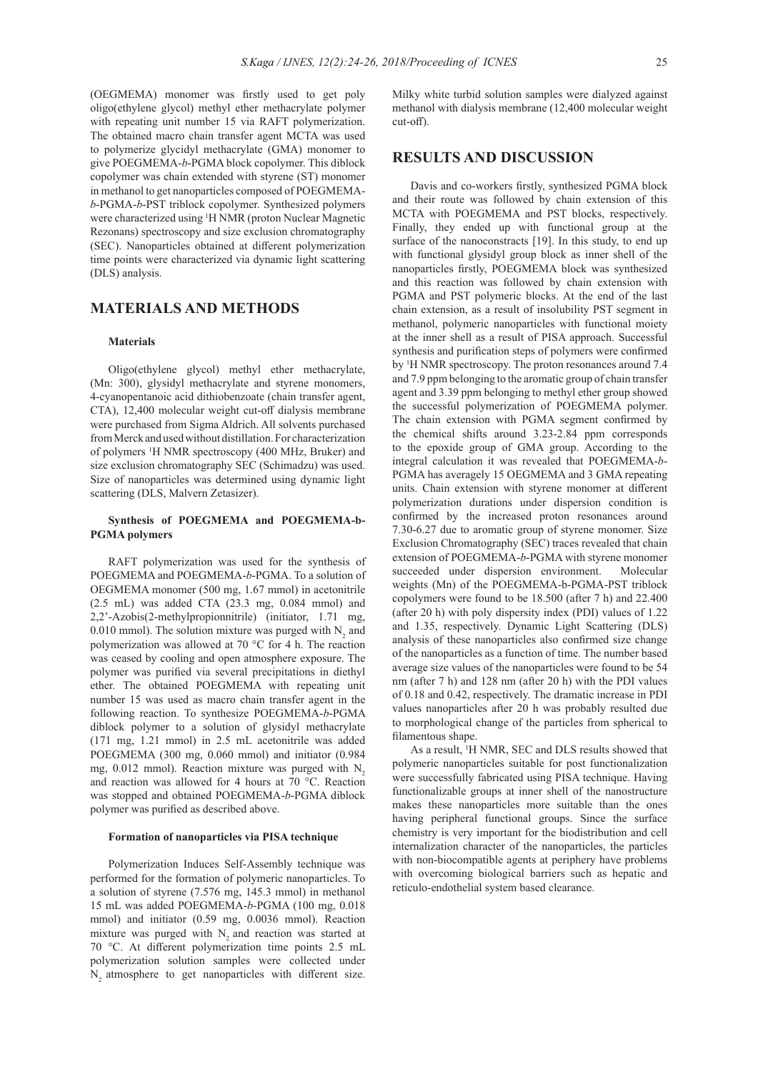(OEGMEMA) monomer was firstly used to get poly oligo(ethylene glycol) methyl ether methacrylate polymer with repeating unit number 15 via RAFT polymerization. The obtained macro chain transfer agent MCTA was used to polymerize glycidyl methacrylate (GMA) monomer to give POEGMEMA-*b*-PGMA block copolymer. This diblock copolymer was chain extended with styrene (ST) monomer in methanol to get nanoparticles composed of POEGMEMA*b*-PGMA-*b*-PST triblock copolymer. Synthesized polymers were characterized using <sup>1</sup>H NMR (proton Nuclear Magnetic Rezonans) spectroscopy and size exclusion chromatography (SEC). Nanoparticles obtained at different polymerization time points were characterized via dynamic light scattering (DLS) analysis.

# **MATERIALS AND METHODS**

### **Materials**

Oligo(ethylene glycol) methyl ether methacrylate, (Mn: 300), glysidyl methacrylate and styrene monomers, 4-cyanopentanoic acid dithiobenzoate (chain transfer agent, CTA), 12,400 molecular weight cut-off dialysis membrane were purchased from Sigma Aldrich. All solvents purchased from Merck and used without distillation. For characterization of polymers <sup>1</sup> H NMR spectroscopy (400 MHz, Bruker) and size exclusion chromatography SEC (Schimadzu) was used. Size of nanoparticles was determined using dynamic light scattering (DLS, Malvern Zetasizer).

## **Synthesis of POEGMEMA and POEGMEMA-b-PGMA polymers**

RAFT polymerization was used for the synthesis of POEGMEMA and POEGMEMA-*b*-PGMA. To a solution of OEGMEMA monomer (500 mg, 1.67 mmol) in acetonitrile (2.5 mL) was added CTA (23.3 mg, 0.084 mmol) and 2,2'-Azobis(2-methylpropionnitrile) (initiator, 1.71 mg, 0.010 mmol). The solution mixture was purged with  $N_2$  and polymerization was allowed at 70 °C for 4 h. The reaction was ceased by cooling and open atmosphere exposure. The polymer was purified via several precipitations in diethyl ether. The obtained POEGMEMA with repeating unit number 15 was used as macro chain transfer agent in the following reaction. To synthesize POEGMEMA-*b*-PGMA diblock polymer to a solution of glysidyl methacrylate (171 mg, 1.21 mmol) in 2.5 mL acetonitrile was added POEGMEMA (300 mg, 0.060 mmol) and initiator (0.984 mg,  $0.012$  mmol). Reaction mixture was purged with N<sub>2</sub> and reaction was allowed for 4 hours at 70 °C. Reaction was stopped and obtained POEGMEMA-*b*-PGMA diblock polymer was purified as described above.

## **Formation of nanoparticles via PISA technique**

Polymerization Induces Self-Assembly technique was performed for the formation of polymeric nanoparticles. To a solution of styrene (7.576 mg, 145.3 mmol) in methanol 15 mL was added POEGMEMA-*b*-PGMA (100 mg, 0.018 mmol) and initiator (0.59 mg, 0.0036 mmol). Reaction mixture was purged with N<sub>2</sub> and reaction was started at 70 °C. At different polymerization time points 2.5 mL polymerization solution samples were collected under N<sub>2</sub> atmosphere to get nanoparticles with different size. Milky white turbid solution samples were dialyzed against methanol with dialysis membrane (12,400 molecular weight cut-off).

## **RESULTS AND DISCUSSION**

Davis and co-workers firstly, synthesized PGMA block and their route was followed by chain extension of this MCTA with POEGMEMA and PST blocks, respectively. Finally, they ended up with functional group at the surface of the nanoconstracts [19]. In this study, to end up with functional glysidyl group block as inner shell of the nanoparticles firstly, POEGMEMA block was synthesized and this reaction was followed by chain extension with PGMA and PST polymeric blocks. At the end of the last chain extension, as a result of insolubility PST segment in methanol, polymeric nanoparticles with functional moiety at the inner shell as a result of PISA approach. Successful synthesis and purification steps of polymers were confirmed by <sup>1</sup> H NMR spectroscopy. The proton resonances around 7.4 and 7.9 ppm belonging to the aromatic group of chain transfer agent and 3.39 ppm belonging to methyl ether group showed the successful polymerization of POEGMEMA polymer. The chain extension with PGMA segment confirmed by the chemical shifts around 3.23-2.84 ppm corresponds to the epoxide group of GMA group. According to the integral calculation it was revealed that POEGMEMA-*b*-PGMA has averagely 15 OEGMEMA and 3 GMA repeating units. Chain extension with styrene monomer at different polymerization durations under dispersion condition is confirmed by the increased proton resonances around 7.30-6.27 due to aromatic group of styrene monomer. Size Exclusion Chromatography (SEC) traces revealed that chain extension of POEGMEMA-*b*-PGMA with styrene monomer succeeded under dispersion environment. Molecular weights (Mn) of the POEGMEMA-b-PGMA-PST triblock copolymers were found to be 18.500 (after 7 h) and 22.400 (after 20 h) with poly dispersity index (PDI) values of 1.22 and 1.35, respectively. Dynamic Light Scattering (DLS) analysis of these nanoparticles also confirmed size change of the nanoparticles as a function of time. The number based average size values of the nanoparticles were found to be 54 nm (after 7 h) and 128 nm (after 20 h) with the PDI values of 0.18 and 0.42, respectively. The dramatic increase in PDI values nanoparticles after 20 h was probably resulted due to morphological change of the particles from spherical to filamentous shape.

As a result, <sup>1</sup> H NMR, SEC and DLS results showed that polymeric nanoparticles suitable for post functionalization were successfully fabricated using PISA technique. Having functionalizable groups at inner shell of the nanostructure makes these nanoparticles more suitable than the ones having peripheral functional groups. Since the surface chemistry is very important for the biodistribution and cell internalization character of the nanoparticles, the particles with non-biocompatible agents at periphery have problems with overcoming biological barriers such as hepatic and reticulo-endothelial system based clearance.